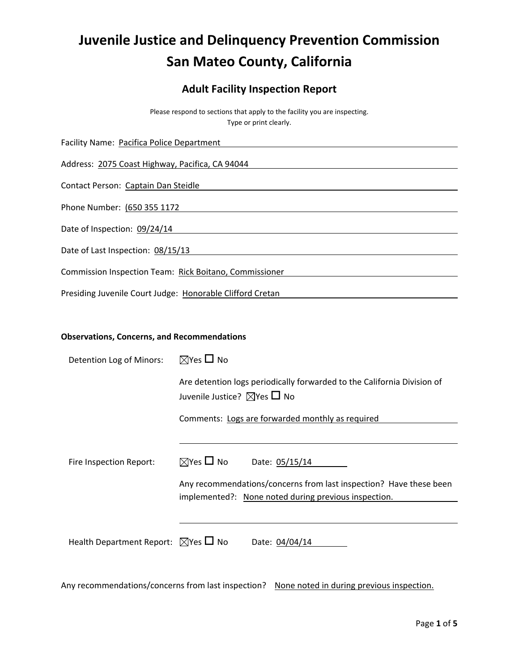# **Juvenile Justice and Delinquency Prevention Commission San Mateo County, California**

# **Adult Facility Inspection Report**

Please respond to sections that apply to the facility you are inspecting. Type or print clearly.

| Facility Name: Pacifica Police Department                 |  |
|-----------------------------------------------------------|--|
| Address: 2075 Coast Highway, Pacifica, CA 94044           |  |
| Contact Person: Captain Dan Steidle                       |  |
| Phone Number: (650 355 1172                               |  |
| Date of Inspection: 09/24/14                              |  |
| Date of Last Inspection: 08/15/13                         |  |
| Commission Inspection Team: Rick Boitano, Commissioner    |  |
| Presiding Juvenile Court Judge: Honorable Clifford Cretan |  |

### **Observations, Concerns, and Recommendations**

| Detention Log of Minors:                            | $\boxtimes$ Yes $\square$ No                                                                                           |  |  |  |
|-----------------------------------------------------|------------------------------------------------------------------------------------------------------------------------|--|--|--|
|                                                     | Are detention logs periodically forwarded to the California Division of<br>Juvenile Justice? $\boxtimes$ Yes $\Box$ No |  |  |  |
|                                                     | Comments: Logs are forwarded monthly as required                                                                       |  |  |  |
|                                                     |                                                                                                                        |  |  |  |
| Fire Inspection Report:                             | $\boxtimes$ Yes $\square$ No<br>Date: 05/15/14                                                                         |  |  |  |
|                                                     | Any recommendations/concerns from last inspection? Have these been                                                     |  |  |  |
|                                                     | implemented?: None noted during previous inspection.                                                                   |  |  |  |
|                                                     |                                                                                                                        |  |  |  |
| Health Department Report: $\boxtimes$ Yes $\Box$ No | Date: 04/04/14                                                                                                         |  |  |  |

Any recommendations/concerns from last inspection? None noted in during previous inspection.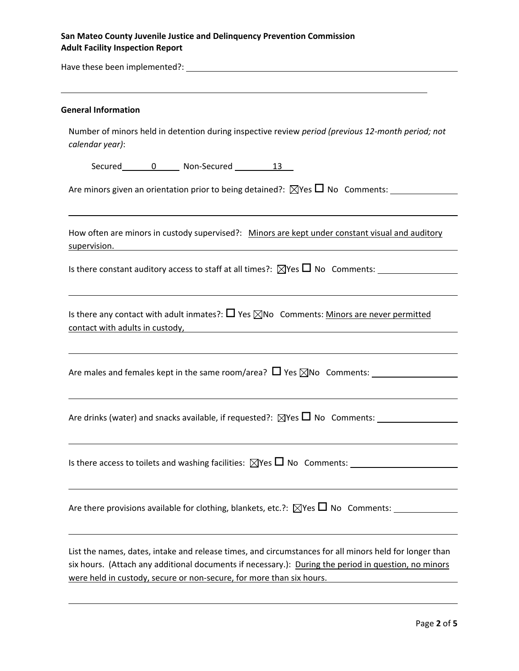## **San Mateo County Juvenile Justice and Delinquency Prevention Commission Adult Facility Inspection Report**

Have these been implemented?:

#### **General Information**

Number of minors held in detention during inspective review *period (previous 12‐month period; not calendar year)*:

<u> 1989 - Johann Stoff, deutscher Stoffen und der Stoffen und der Stoffen und der Stoffen und der Stoffen und d</u>

Secured 0 Non‐Secured 13

Are minors given an orientation prior to being detained?: Yes No Comments:

How often are minors in custody supervised?: Minors are kept under constant visual and auditory supervision.

<u> 1989 - Andrea Santa Alemania, amerikana amerikana amerikana amerikana amerikana amerikana amerikana amerikan</u>

Is there constant auditory access to staff at all times?:  $\boxtimes$ Yes  $\Box$  No Comments:

Is there any contact with adult inmates?:  $\Box$  Yes  $\boxtimes$ No Comments: Minors are never permitted contact with adults in custody,

Are males and females kept in the same room/area? Yes No Comments:

Are drinks (water) and snacks available, if requested?:  $\boxtimes$ Yes  $\Box$  No Comments:

Is there access to toilets and washing facilities:  $\boxtimes$  Yes  $\Box$  No Comments:

Are there provisions available for clothing, blankets, etc.?:  $\boxtimes$ Yes  $\Box$  No Comments:

List the names, dates, intake and release times, and circumstances for all minors held for longer than six hours. (Attach any additional documents if necessary.): During the period in question, no minors were held in custody, secure or non-secure, for more than six hours.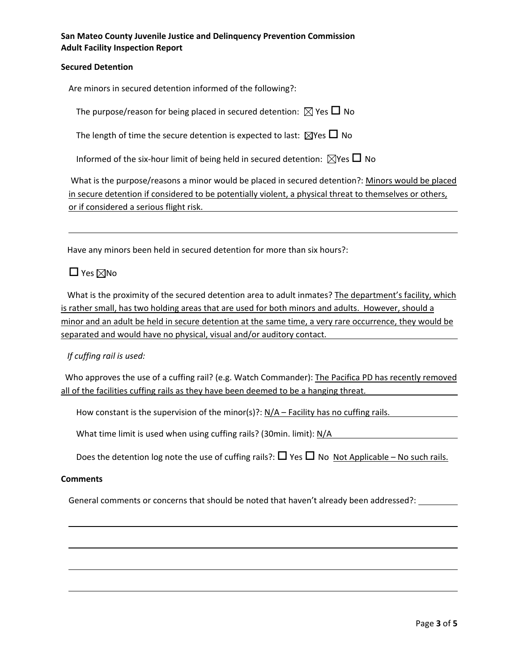**San Mateo County Juvenile Justice and Delinquency Prevention Commission Adult Facility Inspection Report**

### **Secured Detention**

Are minors in secured detention informed of the following?:

The purpose/reason for being placed in secured detention:  $\boxtimes$  Yes  $\Box$  No

The length of time the secure detention is expected to last:  $\boxtimes$ Yes  $\Box$  No

Informed of the six-hour limit of being held in secured detention:  $\boxtimes$ Yes  $\Box$  No

What is the purpose/reasons a minor would be placed in secured detention?: Minors would be placed in secure detention if considered to be potentially violent, a physical threat to themselves or others, or if considered a serious flight risk.

<u> 1989 - Andrea Santa Alemania, amerikana amerikana amerikana amerikana amerikana amerikana amerikana amerikan</u>

Have any minors been held in secured detention for more than six hours?:

# $\Box$  Yes  $\boxtimes$ No

 What is the proximity of the secured detention area to adult inmates? The department's facility, which is rather small, has two holding areas that are used for both minors and adults. However, should a minor and an adult be held in secure detention at the same time, a very rare occurrence, they would be separated and would have no physical, visual and/or auditory contact.

 *If cuffing rail is used:*

Who approves the use of a cuffing rail? (e.g. Watch Commander): The Pacifica PD has recently removed all of the facilities cuffing rails as they have been deemed to be a hanging threat.

How constant is the supervision of the minor(s)?: N/A – Facility has no cuffing rails.

What time limit is used when using cuffing rails? (30min. limit): N/A

Does the detention log note the use of cuffing rails?:  $\Box$  Yes  $\Box$  No Not Applicable – No such rails.

### **Comments**

General comments or concerns that should be noted that haven't already been addressed?: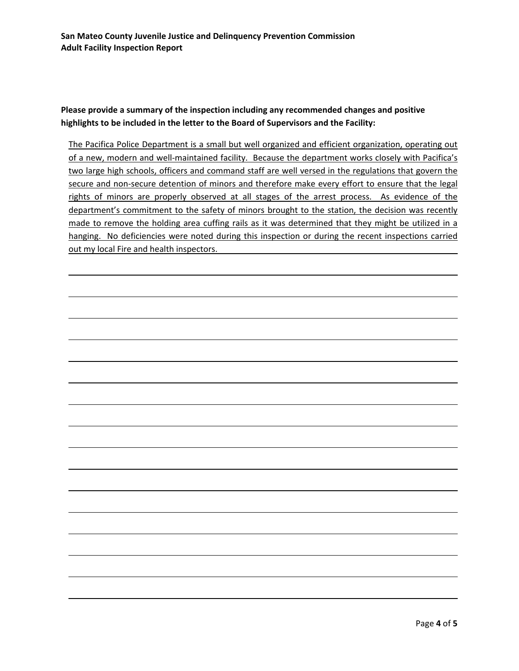## **Please provide a summary of the inspection including any recommended changes and positive highlights to be included in the letter to the Board of Supervisors and the Facility:**

The Pacifica Police Department is a small but well organized and efficient organization, operating out of a new, modern and well-maintained facility. Because the department works closely with Pacifica's two large high schools, officers and command staff are well versed in the regulations that govern the secure and non-secure detention of minors and therefore make every effort to ensure that the legal rights of minors are properly observed at all stages of the arrest process. As evidence of the department's commitment to the safety of minors brought to the station, the decision was recently made to remove the holding area cuffing rails as it was determined that they might be utilized in a hanging. No deficiencies were noted during this inspection or during the recent inspections carried out my local Fire and health inspectors.